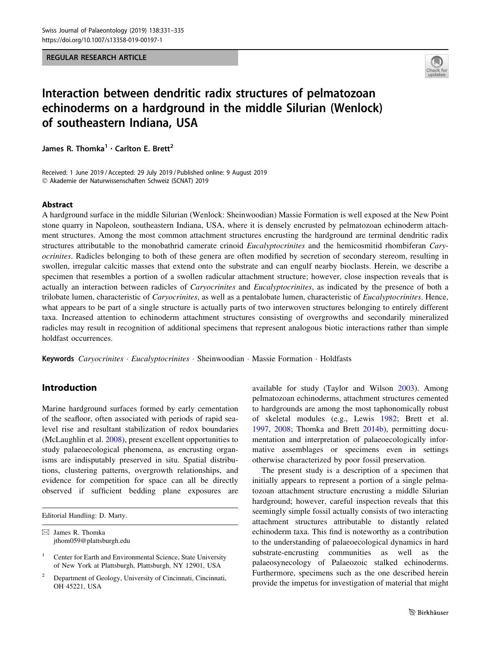

# Interaction between dendritic radix structures of pelmatozoan echinoderms on a hardground in the middle Silurian (Wenlock) of southeastern Indiana, USA

James R. Thomka<sup>1</sup> · Carlton E. Brett<sup>2</sup>

Received: 1 June 2019 / Accepted: 29 July 2019 / Published online: 9 August 2019 - Akademie der Naturwissenschaften Schweiz (SCNAT) 2019

#### Abstract

A hardground surface in the middle Silurian (Wenlock: Sheinwoodian) Massie Formation is well exposed at the New Point stone quarry in Napoleon, southeastern Indiana, USA, where it is densely encrusted by pelmatozoan echinoderm attachment structures. Among the most common attachment structures encrusting the hardground are terminal dendritic radix structures attributable to the monobathrid camerate crinoid Eucalyptocrinites and the hemicosmitid rhombiferan Caryocrinites. Radicles belonging to both of these genera are often modified by secretion of secondary stereom, resulting in swollen, irregular calcitic masses that extend onto the substrate and can engulf nearby bioclasts. Herein, we describe a specimen that resembles a portion of a swollen radicular attachment structure; however, close inspection reveals that is actually an interaction between radicles of *Caryocrinites* and *Eucalyptocrinites*, as indicated by the presence of both a trilobate lumen, characteristic of *Caryocrinites*, as well as a pentalobate lumen, characteristic of *Eucalyptocrinites*. Hence, what appears to be part of a single structure is actually parts of two interwoven structures belonging to entirely different taxa. Increased attention to echinoderm attachment structures consisting of overgrowths and secondarily mineralized radicles may result in recognition of additional specimens that represent analogous biotic interactions rather than simple holdfast occurrences.

Keywords Caryocrinites · Eucalyptocrinites · Sheinwoodian · Massie Formation · Holdfasts

## Introduction

Marine hardground surfaces formed by early cementation of the seafloor, often associated with periods of rapid sealevel rise and resultant stabilization of redox boundaries (McLaughlin et al. [2008\)](#page-4-0), present excellent opportunities to study palaeoecological phenomena, as encrusting organisms are indisputably preserved in situ. Spatial distributions, clustering patterns, overgrowth relationships, and evidence for competition for space can all be directly observed if sufficient bedding plane exposures are

|  | Editorial Handling: D. Marty. |  |  |
|--|-------------------------------|--|--|
|--|-------------------------------|--|--|

available for study (Taylor and Wilson [2003\)](#page-4-0). Among pelmatozoan echinoderms, attachment structures cemented to hardgrounds are among the most taphonomically robust of skeletal modules (e.g., Lewis [1982;](#page-4-0) Brett et al. [1997](#page-4-0), [2008;](#page-3-0) Thomka and Brett [2014b](#page-4-0)), permitting documentation and interpretation of palaeoecologically informative assemblages or specimens even in settings otherwise characterized by poor fossil preservation.

The present study is a description of a specimen that initially appears to represent a portion of a single pelmatozoan attachment structure encrusting a middle Silurian hardground; however, careful inspection reveals that this seemingly simple fossil actually consists of two interacting attachment structures attributable to distantly related echinoderm taxa. This find is noteworthy as a contribution to the understanding of palaeoecological dynamics in hard substrate-encrusting communities as well as the palaeosynecology of Palaeozoic stalked echinoderms. Furthermore, specimens such as the one described herein provide the impetus for investigation of material that might

 $\boxtimes$  James R. Thomka jthom059@plattsburgh.edu

Center for Earth and Environmental Science, State University of New York at Plattsburgh, Plattsburgh, NY 12901, USA

<sup>2</sup> Department of Geology, University of Cincinnati, Cincinnati, OH 45221, USA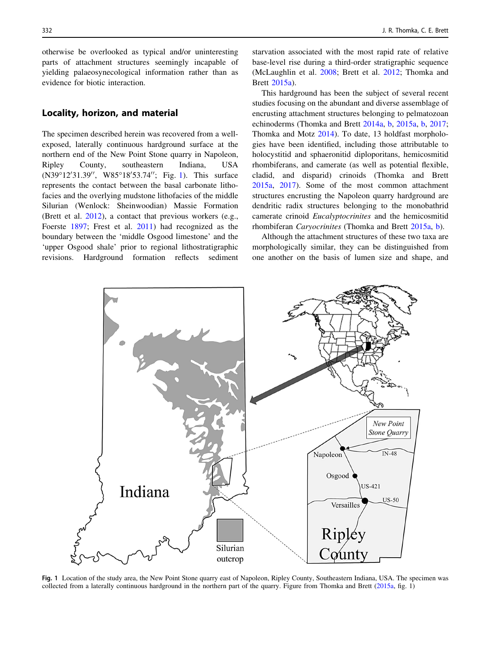otherwise be overlooked as typical and/or uninteresting parts of attachment structures seemingly incapable of yielding palaeosynecological information rather than as evidence for biotic interaction.

#### Locality, horizon, and material

The specimen described herein was recovered from a wellexposed, laterally continuous hardground surface at the northern end of the New Point Stone quarry in Napoleon, Ripley County, southeastern Indiana, USA (N39°12'31.39", W85°18'53.74"; Fig. 1). This surface represents the contact between the basal carbonate lithofacies and the overlying mudstone lithofacies of the middle Silurian (Wenlock: Sheinwoodian) Massie Formation (Brett et al. [2012\)](#page-3-0), a contact that previous workers (e.g., Foerste [1897;](#page-4-0) Frest et al. [2011](#page-4-0)) had recognized as the boundary between the 'middle Osgood limestone' and the 'upper Osgood shale' prior to regional lithostratigraphic revisions. Hardground formation reflects sediment starvation associated with the most rapid rate of relative base-level rise during a third-order stratigraphic sequence (McLaughlin et al. [2008;](#page-4-0) Brett et al. [2012](#page-3-0); Thomka and Brett [2015a\)](#page-4-0).

This hardground has been the subject of several recent studies focusing on the abundant and diverse assemblage of encrusting attachment structures belonging to pelmatozoan echinoderms (Thomka and Brett [2014a,](#page-4-0) [b,](#page-4-0) [2015a](#page-4-0), [b,](#page-4-0) [2017](#page-4-0); Thomka and Motz [2014\)](#page-4-0). To date, 13 holdfast morphologies have been identified, including those attributable to holocystitid and sphaeronitid diploporitans, hemicosmitid rhombiferans, and camerate (as well as potential flexible, cladid, and disparid) crinoids (Thomka and Brett [2015a,](#page-4-0) [2017](#page-4-0)). Some of the most common attachment structures encrusting the Napoleon quarry hardground are dendritic radix structures belonging to the monobathrid camerate crinoid Eucalyptocrinites and the hemicosmitid rhombiferan Caryocrinites (Thomka and Brett [2015a,](#page-4-0) [b\)](#page-4-0).

Although the attachment structures of these two taxa are morphologically similar, they can be distinguished from one another on the basis of lumen size and shape, and



Fig. 1 Location of the study area, the New Point Stone quarry east of Napoleon, Ripley County, Southeastern Indiana, USA. The specimen was collected from a laterally continuous hardground in the northern part of the quarry. Figure from Thomka and Brett [\(2015a,](#page-4-0) fig. 1)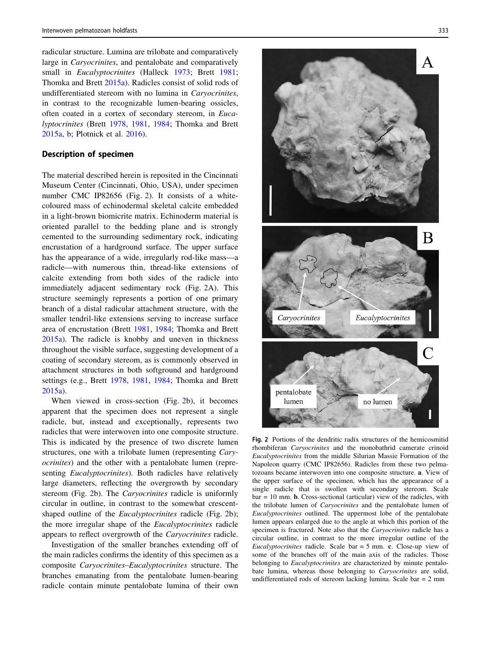<span id="page-2-0"></span>radicular structure. Lumina are trilobate and comparatively large in Caryocrinites, and pentalobate and comparatively small in *Eucalyptocrinites* (Halleck [1973;](#page-4-0) Brett [1981](#page-3-0); Thomka and Brett [2015a](#page-4-0)). Radicles consist of solid rods of undifferentiated stereom with no lumina in Caryocrinites, in contrast to the recognizable lumen-bearing ossicles, often coated in a cortex of secondary stereom, in Eucalyptocrinites (Brett [1978,](#page-3-0) [1981](#page-3-0), [1984](#page-3-0); Thomka and Brett [2015a](#page-4-0), [b](#page-4-0); Plotnick et al. [2016\)](#page-4-0).

#### Description of specimen

The material described herein is reposited in the Cincinnati Museum Center (Cincinnati, Ohio, USA), under specimen number CMC IP82656 (Fig. 2). It consists of a whitecoloured mass of echinodermal skeletal calcite embedded in a light-brown biomicrite matrix. Echinoderm material is oriented parallel to the bedding plane and is strongly cemented to the surrounding sedimentary rock, indicating encrustation of a hardground surface. The upper surface has the appearance of a wide, irregularly rod-like mass—a radicle—with numerous thin, thread-like extensions of calcite extending from both sides of the radicle into immediately adjacent sedimentary rock (Fig. 2A). This structure seemingly represents a portion of one primary branch of a distal radicular attachment structure, with the smaller tendril-like extensions serving to increase surface area of encrustation (Brett [1981](#page-3-0), [1984](#page-3-0); Thomka and Brett [2015a](#page-4-0)). The radicle is knobby and uneven in thickness throughout the visible surface, suggesting development of a coating of secondary stereom, as is commonly observed in attachment structures in both softground and hardground settings (e.g., Brett [1978,](#page-3-0) [1981](#page-3-0), [1984;](#page-3-0) Thomka and Brett [2015a](#page-4-0)).

When viewed in cross-section (Fig. 2b), it becomes apparent that the specimen does not represent a single radicle, but, instead and exceptionally, represents two radicles that were interwoven into one composite structure. This is indicated by the presence of two discrete lumen structures, one with a trilobate lumen (representing Caryocrinites) and the other with a pentalobate lumen (representing *Eucalyptocrinites*). Both radicles have relatively large diameters, reflecting the overgrowth by secondary stereom (Fig. 2b). The *Caryocrinites* radicle is uniformly circular in outline, in contrast to the somewhat crescentshaped outline of the *Eucalyptocrinites* radicle (Fig. 2b); the more irregular shape of the Eucalyptocrinites radicle appears to reflect overgrowth of the Caryocrinites radicle.

Investigation of the smaller branches extending off of the main radicles confirms the identity of this specimen as a composite Caryocrinites–Eucalyptocrinites structure. The branches emanating from the pentalobate lumen-bearing radicle contain minute pentalobate lumina of their own



Fig. 2 Portions of the dendritic radix structures of the hemicosmitid rhombiferan Caryocrinites and the monobathrid camerate crinoid Eucalyptocrinites from the middle Silurian Massie Formation of the Napoleon quarry (CMC IP82656). Radicles from these two pelmatozoans became interwoven into one composite structure. a. View of the upper surface of the specimen, which has the appearance of a single radicle that is swollen with secondary stereom. Scale  $bar = 10$  mm. **b**. Cross-sectional (articular) view of the radicles, with the trilobate lumen of Caryocrinites and the pentalobate lumen of Eucalyptocrinites outlined. The uppermost lobe of the pentalobate lumen appears enlarged due to the angle at which this portion of the specimen is fractured. Note also that the Caryocrinites radicle has a circular outline, in contrast to the more irregular outline of the Eucalyptocrinites radicle. Scale bar  $=$  5 mm. c. Close-up view of some of the branches off of the main axis of the radicles. Those belonging to *Eucalyptocrinites* are characterized by minute pentalobate lumina, whereas those belonging to Caryocrinites are solid, undifferentiated rods of stereom lacking lumina. Scale bar = 2 mm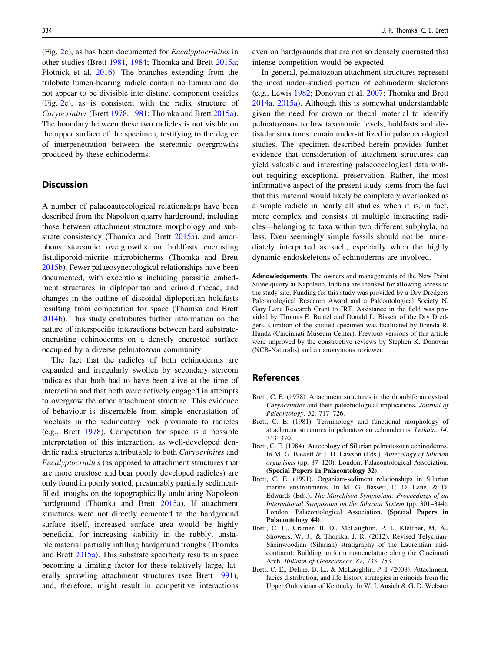<span id="page-3-0"></span>(Fig. [2](#page-2-0)c), as has been documented for Eucalyptocrinites in other studies (Brett 1981, 1984; Thomka and Brett [2015a](#page-4-0); Plotnick et al. [2016](#page-4-0)). The branches extending from the trilobate lumen-bearing radicle contain no lumina and do not appear to be divisible into distinct component ossicles (Fig. [2](#page-2-0)c), as is consistent with the radix structure of Caryocrinites (Brett 1978, 1981; Thomka and Brett [2015a](#page-4-0)). The boundary between these two radicles is not visible on the upper surface of the specimen, testifying to the degree of interpenetration between the stereomic overgrowths produced by these echinoderms.

#### **Discussion**

A number of palaeoautecological relationships have been described from the Napoleon quarry hardground, including those between attachment structure morphology and substrate consistency (Thomka and Brett [2015a](#page-4-0)), and amorphous stereomic overgrowths on holdfasts encrusting fistuliporoid-micrite microbioherms (Thomka and Brett [2015b\)](#page-4-0). Fewer palaeosynecological relationships have been documented, with exceptions including parasitic embedment structures in diploporitan and crinoid thecae, and changes in the outline of discoidal diploporitan holdfasts resulting from competition for space (Thomka and Brett [2014b\)](#page-4-0). This study contributes further information on the nature of interspecific interactions between hard substrateencrusting echinoderms on a densely encrusted surface occupied by a diverse pelmatozoan community.

The fact that the radicles of both echinoderms are expanded and irregularly swollen by secondary stereom indicates that both had to have been alive at the time of interaction and that both were actively engaged in attempts to overgrow the other attachment structure. This evidence of behaviour is discernable from simple encrustation of bioclasts in the sedimentary rock proximate to radicles (e.g., Brett 1978). Competition for space is a possible interpretation of this interaction, as well-developed dendritic radix structures attributable to both Caryocrinites and Eucalyptocrinites (as opposed to attachment structures that are more crustose and bear poorly developed radicles) are only found in poorly sorted, presumably partially sedimentfilled, troughs on the topographically undulating Napoleon hardground (Thomka and Brett [2015a](#page-4-0)). If attachment structures were not directly cemented to the hardground surface itself, increased surface area would be highly beneficial for increasing stability in the rubbly, unstable material partially infilling hardground troughs (Thomka and Brett [2015a\)](#page-4-0). This substrate specificity results in space becoming a limiting factor for these relatively large, laterally sprawling attachment structures (see Brett 1991), and, therefore, might result in competitive interactions

even on hardgrounds that are not so densely encrusted that intense competition would be expected.

In general, pelmatozoan attachment structures represent the most under-studied portion of echinoderm skeletons (e.g., Lewis [1982;](#page-4-0) Donovan et al. [2007;](#page-4-0) Thomka and Brett [2014a,](#page-4-0) [2015a\)](#page-4-0). Although this is somewhat understandable given the need for crown or thecal material to identify pelmatozoans to low taxonomic levels, holdfasts and dististelar structures remain under-utilized in palaeoecological studies. The specimen described herein provides further evidence that consideration of attachment structures can yield valuable and interesting palaeoecological data without requiring exceptional preservation. Rather, the most informative aspect of the present study stems from the fact that this material would likely be completely overlooked as a simple radicle in nearly all studies when it is, in fact, more complex and consists of multiple interacting radicles—belonging to taxa within two different subphyla, no less. Even seemingly simple fossils should not be immediately interpreted as such, especially when the highly dynamic endoskeletons of echinoderms are involved.

Acknowledgements The owners and managements of the New Point Stone quarry at Napoleon, Indiana are thanked for allowing access to the study site. Funding for this study was provided by a Dry Dredgers Paleontological Research Award and a Paleontological Society N. Gary Lane Research Grant to JRT. Assistance in the field was provided by Thomas E. Bantel and Donald L. Bissett of the Dry Dredgers. Curation of the studied specimen was facilitated by Brenda R. Hunda (Cincinnati Museum Center). Previous versions of this article were improved by the constructive reviews by Stephen K. Donovan (NCB-Naturalis) and an anonymous reviewer.

### References

- Brett, C. E. (1978). Attachment structures in the rhombiferan cystoid Caryocrinites and their paleobiological implications. Journal of Paleontology, 52, 717–726.
- Brett, C. E. (1981). Terminology and functional morphology of attachment structures in pelmatozoan echinoderms. Lethaia, 14, 343–370.
- Brett, C. E. (1984). Autecology of Silurian pelmatozoan echinoderms. In M. G. Bassett & J. D. Lawson (Eds.), Autecology of Silurian organisms (pp. 87–120). London: Palaeontological Association. (Special Papers in Palaeontology 32).
- Brett, C. E. (1991). Organism-sediment relationships in Silurian marine environments. In M. G. Bassett, E. D. Lane, & D. Edwards (Eds.), The Murchison Symposium: Proceedings of an International Symposium on the Silurian System (pp. 301–344). London: Palaeontological Association. (Special Papers in Palaeontology 44).
- Brett, C. E., Cramer, B. D., McLaughlin, P. I., Kleffner, M. A., Showers, W. J., & Thomka, J. R. (2012). Revised Telychian-Sheinwoodian (Silurian) stratigraphy of the Laurentian midcontinent: Building uniform nomenclature along the Cincinnati Arch. Bulletin of Geosciences, 87, 733–753.
- Brett, C. E., Deline, B. L., & McLaughlin, P. I. (2008). Attachment, facies distribution, and life history strategies in crinoids from the Upper Ordovician of Kentucky. In W. I. Ausich & G. D. Webster